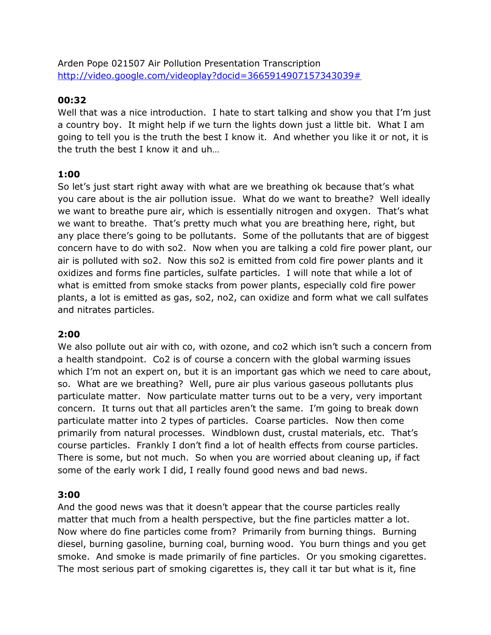Arden Pope 021507 Air Pollution Presentation Transcription [http://video.google.com/videoplay?docid=3665914907157343039#](http://video.google.com/videoplay?docid=3665914907157343039)

# **00:32**

Well that was a nice introduction. I hate to start talking and show you that I'm just a country boy. It might help if we turn the lights down just a little bit. What I am going to tell you is the truth the best I know it. And whether you like it or not, it is the truth the best I know it and uh…

# **1:00**

So let's just start right away with what are we breathing ok because that's what you care about is the air pollution issue. What do we want to breathe? Well ideally we want to breathe pure air, which is essentially nitrogen and oxygen. That's what we want to breathe. That's pretty much what you are breathing here, right, but any place there's going to be pollutants. Some of the pollutants that are of biggest concern have to do with so2. Now when you are talking a cold fire power plant, our air is polluted with so2. Now this so2 is emitted from cold fire power plants and it oxidizes and forms fine particles, sulfate particles. I will note that while a lot of what is emitted from smoke stacks from power plants, especially cold fire power plants, a lot is emitted as gas, so2, no2, can oxidize and form what we call sulfates and nitrates particles.

# **2:00**

We also pollute out air with co, with ozone, and co2 which isn't such a concern from a health standpoint. Co2 is of course a concern with the global warming issues which I'm not an expert on, but it is an important gas which we need to care about, so. What are we breathing? Well, pure air plus various gaseous pollutants plus particulate matter. Now particulate matter turns out to be a very, very important concern. It turns out that all particles aren't the same. I'm going to break down particulate matter into 2 types of particles. Coarse particles. Now then come primarily from natural processes. Windblown dust, crustal materials, etc. That's course particles. Frankly I don't find a lot of health effects from course particles. There is some, but not much. So when you are worried about cleaning up, if fact some of the early work I did, I really found good news and bad news.

# **3:00**

And the good news was that it doesn't appear that the course particles really matter that much from a health perspective, but the fine particles matter a lot. Now where do fine particles come from? Primarily from burning things. Burning diesel, burning gasoline, burning coal, burning wood. You burn things and you get smoke. And smoke is made primarily of fine particles. Or you smoking cigarettes. The most serious part of smoking cigarettes is, they call it tar but what is it, fine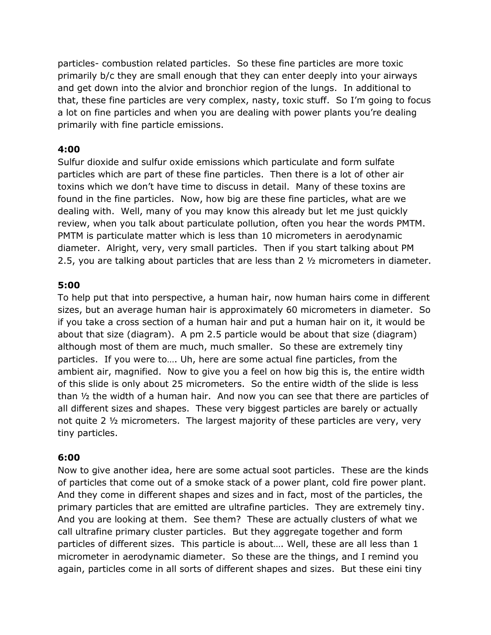particles- combustion related particles. So these fine particles are more toxic primarily b/c they are small enough that they can enter deeply into your airways and get down into the alvior and bronchior region of the lungs. In additional to that, these fine particles are very complex, nasty, toxic stuff. So I'm going to focus a lot on fine particles and when you are dealing with power plants you're dealing primarily with fine particle emissions.

### **4:00**

Sulfur dioxide and sulfur oxide emissions which particulate and form sulfate particles which are part of these fine particles. Then there is a lot of other air toxins which we don't have time to discuss in detail. Many of these toxins are found in the fine particles. Now, how big are these fine particles, what are we dealing with. Well, many of you may know this already but let me just quickly review, when you talk about particulate pollution, often you hear the words PMTM. PMTM is particulate matter which is less than 10 micrometers in aerodynamic diameter. Alright, very, very small particles. Then if you start talking about PM 2.5, you are talking about particles that are less than 2 ½ micrometers in diameter.

### **5:00**

To help put that into perspective, a human hair, now human hairs come in different sizes, but an average human hair is approximately 60 micrometers in diameter. So if you take a cross section of a human hair and put a human hair on it, it would be about that size (diagram). A pm 2.5 particle would be about that size (diagram) although most of them are much, much smaller. So these are extremely tiny particles. If you were to…. Uh, here are some actual fine particles, from the ambient air, magnified. Now to give you a feel on how big this is, the entire width of this slide is only about 25 micrometers. So the entire width of the slide is less than ½ the width of a human hair. And now you can see that there are particles of all different sizes and shapes. These very biggest particles are barely or actually not quite 2 ½ micrometers. The largest majority of these particles are very, very tiny particles.

#### **6:00**

Now to give another idea, here are some actual soot particles. These are the kinds of particles that come out of a smoke stack of a power plant, cold fire power plant. And they come in different shapes and sizes and in fact, most of the particles, the primary particles that are emitted are ultrafine particles. They are extremely tiny. And you are looking at them. See them? These are actually clusters of what we call ultrafine primary cluster particles. But they aggregate together and form particles of different sizes. This particle is about…. Well, these are all less than 1 micrometer in aerodynamic diameter. So these are the things, and I remind you again, particles come in all sorts of different shapes and sizes. But these eini tiny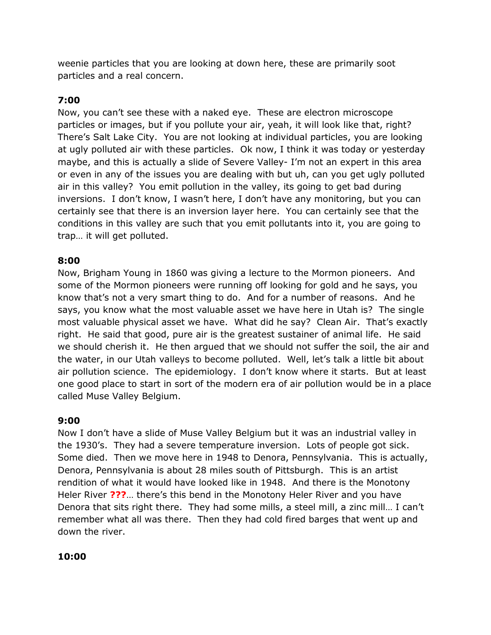weenie particles that you are looking at down here, these are primarily soot particles and a real concern.

# **7:00**

Now, you can't see these with a naked eye. These are electron microscope particles or images, but if you pollute your air, yeah, it will look like that, right? There's Salt Lake City. You are not looking at individual particles, you are looking at ugly polluted air with these particles. Ok now, I think it was today or yesterday maybe, and this is actually a slide of Severe Valley- I'm not an expert in this area or even in any of the issues you are dealing with but uh, can you get ugly polluted air in this valley? You emit pollution in the valley, its going to get bad during inversions. I don't know, I wasn't here, I don't have any monitoring, but you can certainly see that there is an inversion layer here. You can certainly see that the conditions in this valley are such that you emit pollutants into it, you are going to trap… it will get polluted.

# **8:00**

Now, Brigham Young in 1860 was giving a lecture to the Mormon pioneers. And some of the Mormon pioneers were running off looking for gold and he says, you know that's not a very smart thing to do. And for a number of reasons. And he says, you know what the most valuable asset we have here in Utah is? The single most valuable physical asset we have. What did he say? Clean Air. That's exactly right. He said that good, pure air is the greatest sustainer of animal life. He said we should cherish it. He then argued that we should not suffer the soil, the air and the water, in our Utah valleys to become polluted. Well, let's talk a little bit about air pollution science. The epidemiology. I don't know where it starts. But at least one good place to start in sort of the modern era of air pollution would be in a place called Muse Valley Belgium.

# **9:00**

Now I don't have a slide of Muse Valley Belgium but it was an industrial valley in the 1930's. They had a severe temperature inversion. Lots of people got sick. Some died. Then we move here in 1948 to Denora, Pennsylvania. This is actually, Denora, Pennsylvania is about 28 miles south of Pittsburgh. This is an artist rendition of what it would have looked like in 1948. And there is the Monotony Heler River **???**… there's this bend in the Monotony Heler River and you have Denora that sits right there. They had some mills, a steel mill, a zinc mill… I can't remember what all was there. Then they had cold fired barges that went up and down the river.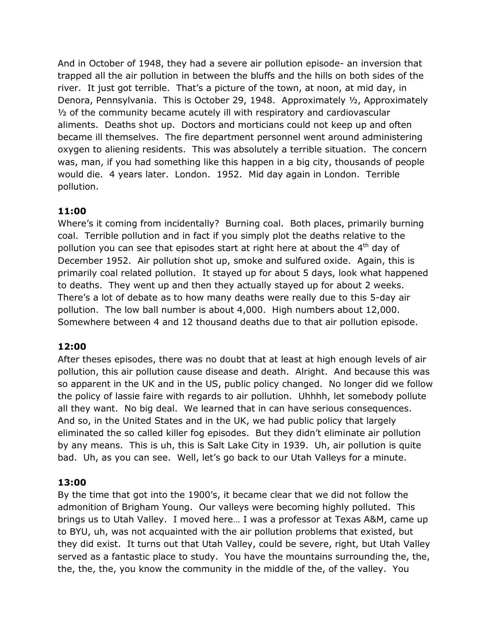And in October of 1948, they had a severe air pollution episode- an inversion that trapped all the air pollution in between the bluffs and the hills on both sides of the river. It just got terrible. That's a picture of the town, at noon, at mid day, in Denora, Pennsylvania. This is October 29, 1948. Approximately ½, Approximately ½ of the community became acutely ill with respiratory and cardiovascular aliments. Deaths shot up. Doctors and morticians could not keep up and often became ill themselves. The fire department personnel went around administering oxygen to aliening residents. This was absolutely a terrible situation. The concern was, man, if you had something like this happen in a big city, thousands of people would die. 4 years later. London. 1952. Mid day again in London. Terrible pollution.

# **11:00**

Where's it coming from incidentally? Burning coal. Both places, primarily burning coal. Terrible pollution and in fact if you simply plot the deaths relative to the pollution you can see that episodes start at right here at about the  $4<sup>th</sup>$  day of December 1952. Air pollution shot up, smoke and sulfured oxide. Again, this is primarily coal related pollution. It stayed up for about 5 days, look what happened to deaths. They went up and then they actually stayed up for about 2 weeks. There's a lot of debate as to how many deaths were really due to this 5-day air pollution. The low ball number is about 4,000. High numbers about 12,000. Somewhere between 4 and 12 thousand deaths due to that air pollution episode.

# **12:00**

After theses episodes, there was no doubt that at least at high enough levels of air pollution, this air pollution cause disease and death. Alright. And because this was so apparent in the UK and in the US, public policy changed. No longer did we follow the policy of lassie faire with regards to air pollution. Uhhhh, let somebody pollute all they want. No big deal. We learned that in can have serious consequences. And so, in the United States and in the UK, we had public policy that largely eliminated the so called killer fog episodes. But they didn't eliminate air pollution by any means. This is uh, this is Salt Lake City in 1939. Uh, air pollution is quite bad. Uh, as you can see. Well, let's go back to our Utah Valleys for a minute.

# **13:00**

By the time that got into the 1900's, it became clear that we did not follow the admonition of Brigham Young. Our valleys were becoming highly polluted. This brings us to Utah Valley. I moved here… I was a professor at Texas A&M, came up to BYU, uh, was not acquainted with the air pollution problems that existed, but they did exist. It turns out that Utah Valley, could be severe, right, but Utah Valley served as a fantastic place to study. You have the mountains surrounding the, the, the, the, the, you know the community in the middle of the, of the valley. You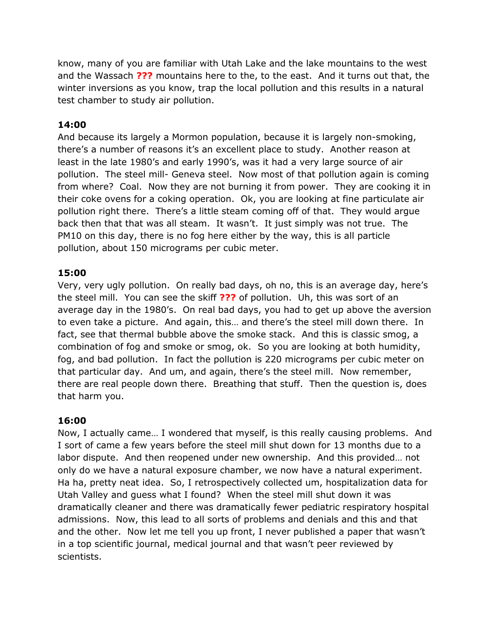know, many of you are familiar with Utah Lake and the lake mountains to the west and the Wassach **???** mountains here to the, to the east. And it turns out that, the winter inversions as you know, trap the local pollution and this results in a natural test chamber to study air pollution.

# **14:00**

And because its largely a Mormon population, because it is largely non-smoking, there's a number of reasons it's an excellent place to study. Another reason at least in the late 1980's and early 1990's, was it had a very large source of air pollution. The steel mill- Geneva steel. Now most of that pollution again is coming from where? Coal. Now they are not burning it from power. They are cooking it in their coke ovens for a coking operation. Ok, you are looking at fine particulate air pollution right there. There's a little steam coming off of that. They would argue back then that that was all steam. It wasn't. It just simply was not true. The PM10 on this day, there is no fog here either by the way, this is all particle pollution, about 150 micrograms per cubic meter.

### **15:00**

Very, very ugly pollution. On really bad days, oh no, this is an average day, here's the steel mill. You can see the skiff **???** of pollution. Uh, this was sort of an average day in the 1980's. On real bad days, you had to get up above the aversion to even take a picture. And again, this… and there's the steel mill down there. In fact, see that thermal bubble above the smoke stack. And this is classic smog, a combination of fog and smoke or smog, ok. So you are looking at both humidity, fog, and bad pollution. In fact the pollution is 220 micrograms per cubic meter on that particular day. And um, and again, there's the steel mill. Now remember, there are real people down there. Breathing that stuff. Then the question is, does that harm you.

# **16:00**

Now, I actually came… I wondered that myself, is this really causing problems. And I sort of came a few years before the steel mill shut down for 13 months due to a labor dispute. And then reopened under new ownership. And this provided… not only do we have a natural exposure chamber, we now have a natural experiment. Ha ha, pretty neat idea. So, I retrospectively collected um, hospitalization data for Utah Valley and guess what I found? When the steel mill shut down it was dramatically cleaner and there was dramatically fewer pediatric respiratory hospital admissions. Now, this lead to all sorts of problems and denials and this and that and the other. Now let me tell you up front, I never published a paper that wasn't in a top scientific journal, medical journal and that wasn't peer reviewed by scientists.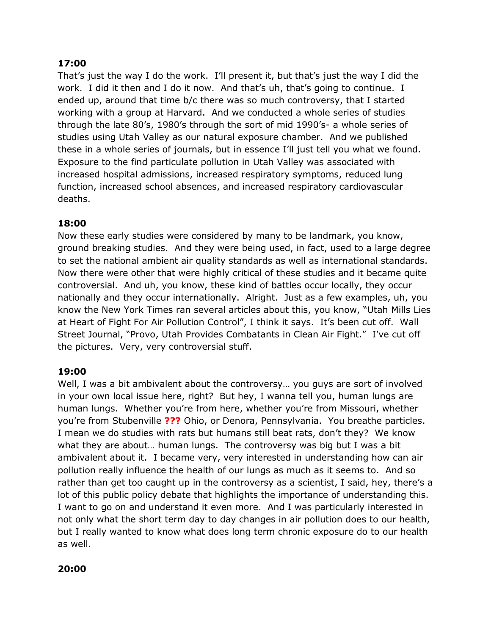# **17:00**

That's just the way I do the work. I'll present it, but that's just the way I did the work. I did it then and I do it now. And that's uh, that's going to continue. I ended up, around that time b/c there was so much controversy, that I started working with a group at Harvard. And we conducted a whole series of studies through the late 80's, 1980's through the sort of mid 1990's- a whole series of studies using Utah Valley as our natural exposure chamber. And we published these in a whole series of journals, but in essence I'll just tell you what we found. Exposure to the find particulate pollution in Utah Valley was associated with increased hospital admissions, increased respiratory symptoms, reduced lung function, increased school absences, and increased respiratory cardiovascular deaths.

# **18:00**

Now these early studies were considered by many to be landmark, you know, ground breaking studies. And they were being used, in fact, used to a large degree to set the national ambient air quality standards as well as international standards. Now there were other that were highly critical of these studies and it became quite controversial. And uh, you know, these kind of battles occur locally, they occur nationally and they occur internationally. Alright. Just as a few examples, uh, you know the New York Times ran several articles about this, you know, "Utah Mills Lies at Heart of Fight For Air Pollution Control", I think it says. It's been cut off. Wall Street Journal, "Provo, Utah Provides Combatants in Clean Air Fight." I've cut off the pictures. Very, very controversial stuff.

# **19:00**

Well, I was a bit ambivalent about the controversy… you guys are sort of involved in your own local issue here, right? But hey, I wanna tell you, human lungs are human lungs. Whether you're from here, whether you're from Missouri, whether you're from Stubenville **???** Ohio, or Denora, Pennsylvania. You breathe particles. I mean we do studies with rats but humans still beat rats, don't they? We know what they are about… human lungs. The controversy was big but I was a bit ambivalent about it. I became very, very interested in understanding how can air pollution really influence the health of our lungs as much as it seems to. And so rather than get too caught up in the controversy as a scientist, I said, hey, there's a lot of this public policy debate that highlights the importance of understanding this. I want to go on and understand it even more. And I was particularly interested in not only what the short term day to day changes in air pollution does to our health, but I really wanted to know what does long term chronic exposure do to our health as well.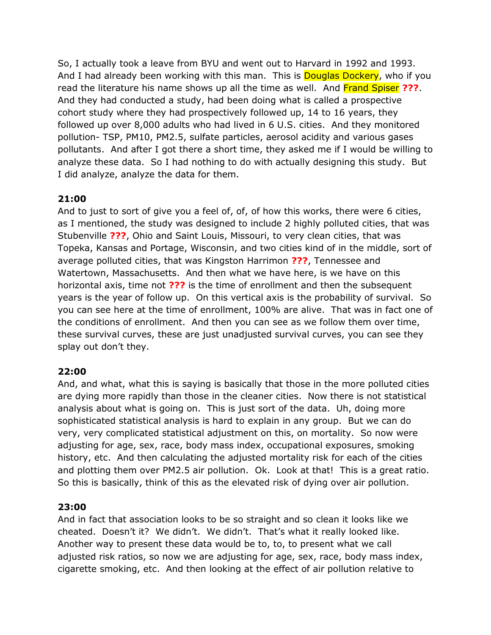So, I actually took a leave from BYU and went out to Harvard in 1992 and 1993. And I had already been working with this man. This is **Douglas Dockery**, who if you read the literature his name shows up all the time as well. And Frand Spiser **???**. And they had conducted a study, had been doing what is called a prospective cohort study where they had prospectively followed up, 14 to 16 years, they followed up over 8,000 adults who had lived in 6 U.S. cities. And they monitored pollution- TSP, PM10, PM2.5, sulfate particles, aerosol acidity and various gases pollutants. And after I got there a short time, they asked me if I would be willing to analyze these data. So I had nothing to do with actually designing this study. But I did analyze, analyze the data for them.

# **21:00**

And to just to sort of give you a feel of, of, of how this works, there were 6 cities, as I mentioned, the study was designed to include 2 highly polluted cities, that was Stubenville **???**, Ohio and Saint Louis, Missouri, to very clean cities, that was Topeka, Kansas and Portage, Wisconsin, and two cities kind of in the middle, sort of average polluted cities, that was Kingston Harrimon **???**, Tennessee and Watertown, Massachusetts. And then what we have here, is we have on this horizontal axis, time not **???** is the time of enrollment and then the subsequent years is the year of follow up. On this vertical axis is the probability of survival. So you can see here at the time of enrollment, 100% are alive. That was in fact one of the conditions of enrollment. And then you can see as we follow them over time, these survival curves, these are just unadjusted survival curves, you can see they splay out don't they.

# **22:00**

And, and what, what this is saying is basically that those in the more polluted cities are dying more rapidly than those in the cleaner cities. Now there is not statistical analysis about what is going on. This is just sort of the data. Uh, doing more sophisticated statistical analysis is hard to explain in any group. But we can do very, very complicated statistical adjustment on this, on mortality. So now were adjusting for age, sex, race, body mass index, occupational exposures, smoking history, etc. And then calculating the adjusted mortality risk for each of the cities and plotting them over PM2.5 air pollution. Ok. Look at that! This is a great ratio. So this is basically, think of this as the elevated risk of dying over air pollution.

# **23:00**

And in fact that association looks to be so straight and so clean it looks like we cheated. Doesn't it? We didn't. We didn't. That's what it really looked like. Another way to present these data would be to, to, to present what we call adjusted risk ratios, so now we are adjusting for age, sex, race, body mass index, cigarette smoking, etc. And then looking at the effect of air pollution relative to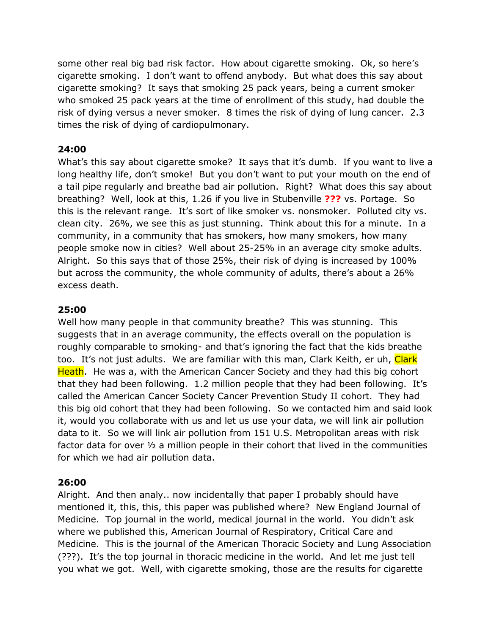some other real big bad risk factor. How about cigarette smoking. Ok, so here's cigarette smoking. I don't want to offend anybody. But what does this say about cigarette smoking? It says that smoking 25 pack years, being a current smoker who smoked 25 pack years at the time of enrollment of this study, had double the risk of dying versus a never smoker. 8 times the risk of dying of lung cancer. 2.3 times the risk of dying of cardiopulmonary.

### **24:00**

What's this say about cigarette smoke? It says that it's dumb. If you want to live a long healthy life, don't smoke! But you don't want to put your mouth on the end of a tail pipe regularly and breathe bad air pollution. Right? What does this say about breathing? Well, look at this, 1.26 if you live in Stubenville **???** vs. Portage. So this is the relevant range. It's sort of like smoker vs. nonsmoker. Polluted city vs. clean city. 26%, we see this as just stunning. Think about this for a minute. In a community, in a community that has smokers, how many smokers, how many people smoke now in cities? Well about 25-25% in an average city smoke adults. Alright. So this says that of those 25%, their risk of dying is increased by 100% but across the community, the whole community of adults, there's about a 26% excess death.

### **25:00**

Well how many people in that community breathe? This was stunning. This suggests that in an average community, the effects overall on the population is roughly comparable to smoking- and that's ignoring the fact that the kids breathe too. It's not just adults. We are familiar with this man, Clark Keith, er uh, Clark Heath. He was a, with the American Cancer Society and they had this big cohort that they had been following. 1.2 million people that they had been following. It's called the American Cancer Society Cancer Prevention Study II cohort. They had this big old cohort that they had been following. So we contacted him and said look it, would you collaborate with us and let us use your data, we will link air pollution data to it. So we will link air pollution from 151 U.S. Metropolitan areas with risk factor data for over ½ a million people in their cohort that lived in the communities for which we had air pollution data.

# **26:00**

Alright. And then analy.. now incidentally that paper I probably should have mentioned it, this, this, this paper was published where? New England Journal of Medicine. Top journal in the world, medical journal in the world. You didn't ask where we published this, American Journal of Respiratory, Critical Care and Medicine. This is the journal of the American Thoracic Society and Lung Association (???). It's the top journal in thoracic medicine in the world. And let me just tell you what we got. Well, with cigarette smoking, those are the results for cigarette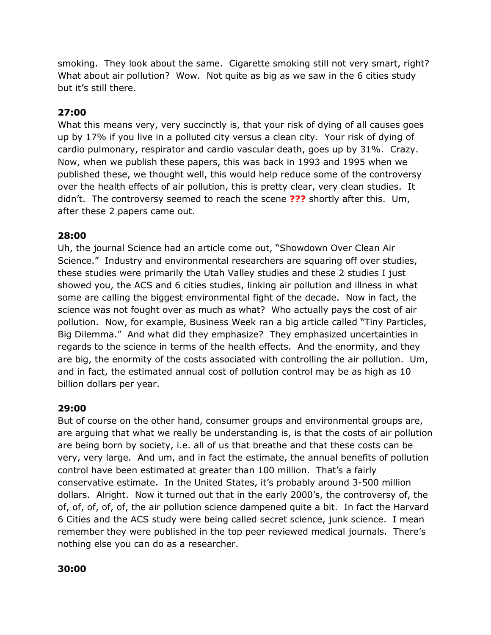smoking. They look about the same. Cigarette smoking still not very smart, right? What about air pollution? Wow. Not quite as big as we saw in the 6 cities study but it's still there.

### **27:00**

What this means very, very succinctly is, that your risk of dying of all causes goes up by 17% if you live in a polluted city versus a clean city. Your risk of dying of cardio pulmonary, respirator and cardio vascular death, goes up by 31%. Crazy. Now, when we publish these papers, this was back in 1993 and 1995 when we published these, we thought well, this would help reduce some of the controversy over the health effects of air pollution, this is pretty clear, very clean studies. It didn't. The controversy seemed to reach the scene **???** shortly after this. Um, after these 2 papers came out.

### **28:00**

Uh, the journal Science had an article come out, "Showdown Over Clean Air Science." Industry and environmental researchers are squaring off over studies, these studies were primarily the Utah Valley studies and these 2 studies I just showed you, the ACS and 6 cities studies, linking air pollution and illness in what some are calling the biggest environmental fight of the decade. Now in fact, the science was not fought over as much as what? Who actually pays the cost of air pollution. Now, for example, Business Week ran a big article called "Tiny Particles, Big Dilemma." And what did they emphasize? They emphasized uncertainties in regards to the science in terms of the health effects. And the enormity, and they are big, the enormity of the costs associated with controlling the air pollution. Um, and in fact, the estimated annual cost of pollution control may be as high as 10 billion dollars per year.

#### **29:00**

But of course on the other hand, consumer groups and environmental groups are, are arguing that what we really be understanding is, is that the costs of air pollution are being born by society, i.e. all of us that breathe and that these costs can be very, very large. And um, and in fact the estimate, the annual benefits of pollution control have been estimated at greater than 100 million. That's a fairly conservative estimate. In the United States, it's probably around 3-500 million dollars. Alright. Now it turned out that in the early 2000's, the controversy of, the of, of, of, of, of, the air pollution science dampened quite a bit. In fact the Harvard 6 Cities and the ACS study were being called secret science, junk science. I mean remember they were published in the top peer reviewed medical journals. There's nothing else you can do as a researcher.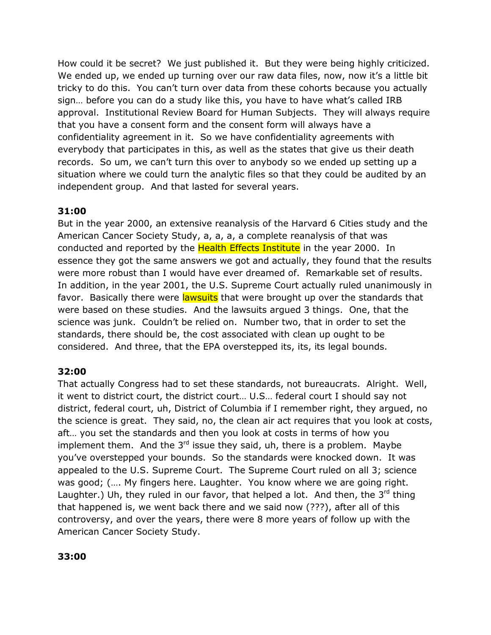How could it be secret? We just published it. But they were being highly criticized. We ended up, we ended up turning over our raw data files, now, now it's a little bit tricky to do this. You can't turn over data from these cohorts because you actually sign… before you can do a study like this, you have to have what's called IRB approval. Institutional Review Board for Human Subjects. They will always require that you have a consent form and the consent form will always have a confidentiality agreement in it. So we have confidentiality agreements with everybody that participates in this, as well as the states that give us their death records. So um, we can't turn this over to anybody so we ended up setting up a situation where we could turn the analytic files so that they could be audited by an independent group. And that lasted for several years.

# **31:00**

But in the year 2000, an extensive reanalysis of the Harvard 6 Cities study and the American Cancer Society Study, a, a, a, a complete reanalysis of that was conducted and reported by the **Health Effects Institute** in the year 2000. In essence they got the same answers we got and actually, they found that the results were more robust than I would have ever dreamed of. Remarkable set of results. In addition, in the year 2001, the U.S. Supreme Court actually ruled unanimously in favor. Basically there were lawsuits that were brought up over the standards that were based on these studies. And the lawsuits argued 3 things. One, that the science was junk. Couldn't be relied on. Number two, that in order to set the standards, there should be, the cost associated with clean up ought to be considered. And three, that the EPA overstepped its, its, its legal bounds.

# **32:00**

That actually Congress had to set these standards, not bureaucrats. Alright. Well, it went to district court, the district court… U.S… federal court I should say not district, federal court, uh, District of Columbia if I remember right, they argued, no the science is great. They said, no, the clean air act requires that you look at costs, aft… you set the standards and then you look at costs in terms of how you implement them. And the  $3^{rd}$  issue they said, uh, there is a problem. Maybe you've overstepped your bounds. So the standards were knocked down. It was appealed to the U.S. Supreme Court. The Supreme Court ruled on all 3; science was good; (…. My fingers here. Laughter. You know where we are going right. Laughter.) Uh, they ruled in our favor, that helped a lot. And then, the  $3<sup>rd</sup>$  thing that happened is, we went back there and we said now (???), after all of this controversy, and over the years, there were 8 more years of follow up with the American Cancer Society Study.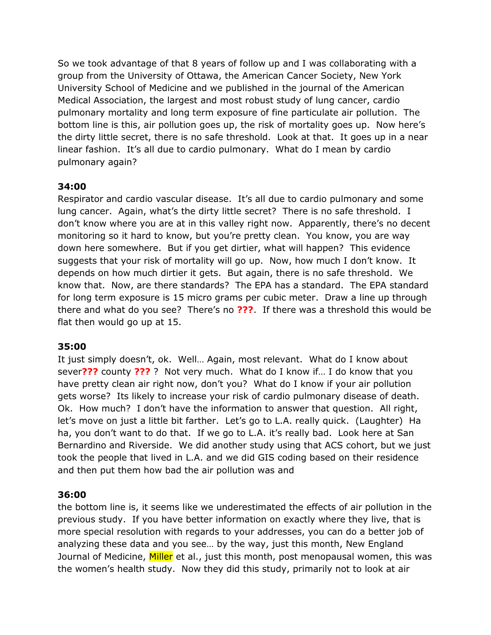So we took advantage of that 8 years of follow up and I was collaborating with a group from the University of Ottawa, the American Cancer Society, New York University School of Medicine and we published in the journal of the American Medical Association, the largest and most robust study of lung cancer, cardio pulmonary mortality and long term exposure of fine particulate air pollution. The bottom line is this, air pollution goes up, the risk of mortality goes up. Now here's the dirty little secret, there is no safe threshold. Look at that. It goes up in a near linear fashion. It's all due to cardio pulmonary. What do I mean by cardio pulmonary again?

### **34:00**

Respirator and cardio vascular disease. It's all due to cardio pulmonary and some lung cancer. Again, what's the dirty little secret? There is no safe threshold. I don't know where you are at in this valley right now. Apparently, there's no decent monitoring so it hard to know, but you're pretty clean. You know, you are way down here somewhere. But if you get dirtier, what will happen? This evidence suggests that your risk of mortality will go up. Now, how much I don't know. It depends on how much dirtier it gets. But again, there is no safe threshold. We know that. Now, are there standards? The EPA has a standard. The EPA standard for long term exposure is 15 micro grams per cubic meter. Draw a line up through there and what do you see? There's no **???**. If there was a threshold this would be flat then would go up at 15.

#### **35:00**

It just simply doesn't, ok. Well… Again, most relevant. What do I know about sever**???** county **???** ? Not very much. What do I know if… I do know that you have pretty clean air right now, don't you? What do I know if your air pollution gets worse? Its likely to increase your risk of cardio pulmonary disease of death. Ok. How much? I don't have the information to answer that question. All right, let's move on just a little bit farther. Let's go to L.A. really quick. (Laughter) Ha ha, you don't want to do that. If we go to L.A. it's really bad. Look here at San Bernardino and Riverside. We did another study using that ACS cohort, but we just took the people that lived in L.A. and we did GIS coding based on their residence and then put them how bad the air pollution was and

# **36:00**

the bottom line is, it seems like we underestimated the effects of air pollution in the previous study. If you have better information on exactly where they live, that is more special resolution with regards to your addresses, you can do a better job of analyzing these data and you see… by the way, just this month, New England Journal of Medicine, Miller et al., just this month, post menopausal women, this was the women's health study. Now they did this study, primarily not to look at air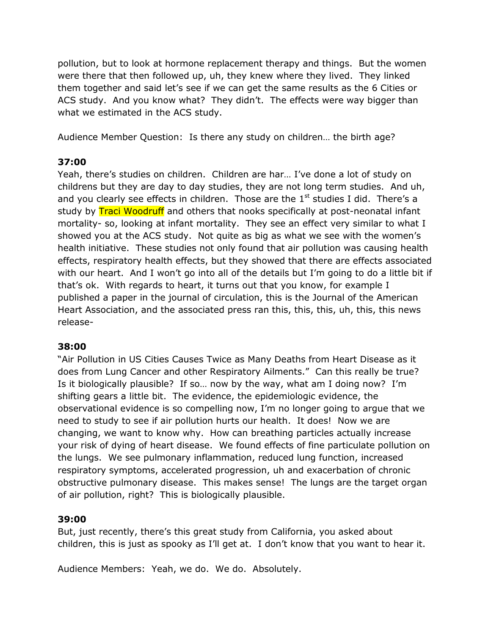pollution, but to look at hormone replacement therapy and things. But the women were there that then followed up, uh, they knew where they lived. They linked them together and said let's see if we can get the same results as the 6 Cities or ACS study. And you know what? They didn't. The effects were way bigger than what we estimated in the ACS study.

Audience Member Question: Is there any study on children… the birth age?

# **37:00**

Yeah, there's studies on children. Children are har… I've done a lot of study on childrens but they are day to day studies, they are not long term studies. And uh, and you clearly see effects in children. Those are the  $1<sup>st</sup>$  studies I did. There's a study by **Traci Woodruff** and others that nooks specifically at post-neonatal infant mortality- so, looking at infant mortality. They see an effect very similar to what I showed you at the ACS study. Not quite as big as what we see with the women's health initiative. These studies not only found that air pollution was causing health effects, respiratory health effects, but they showed that there are effects associated with our heart. And I won't go into all of the details but I'm going to do a little bit if that's ok. With regards to heart, it turns out that you know, for example I published a paper in the journal of circulation, this is the Journal of the American Heart Association, and the associated press ran this, this, this, uh, this, this news release-

# **38:00**

"Air Pollution in US Cities Causes Twice as Many Deaths from Heart Disease as it does from Lung Cancer and other Respiratory Ailments." Can this really be true? Is it biologically plausible? If so… now by the way, what am I doing now? I'm shifting gears a little bit. The evidence, the epidemiologic evidence, the observational evidence is so compelling now, I'm no longer going to argue that we need to study to see if air pollution hurts our health. It does! Now we are changing, we want to know why. How can breathing particles actually increase your risk of dying of heart disease. We found effects of fine particulate pollution on the lungs. We see pulmonary inflammation, reduced lung function, increased respiratory symptoms, accelerated progression, uh and exacerbation of chronic obstructive pulmonary disease. This makes sense! The lungs are the target organ of air pollution, right? This is biologically plausible.

# **39:00**

But, just recently, there's this great study from California, you asked about children, this is just as spooky as I'll get at. I don't know that you want to hear it.

Audience Members: Yeah, we do. We do. Absolutely.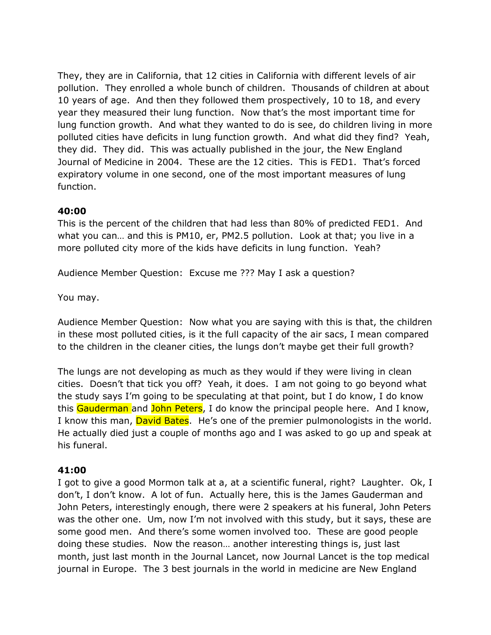They, they are in California, that 12 cities in California with different levels of air pollution. They enrolled a whole bunch of children. Thousands of children at about 10 years of age. And then they followed them prospectively, 10 to 18, and every year they measured their lung function. Now that's the most important time for lung function growth. And what they wanted to do is see, do children living in more polluted cities have deficits in lung function growth. And what did they find? Yeah, they did. They did. This was actually published in the jour, the New England Journal of Medicine in 2004. These are the 12 cities. This is FED1. That's forced expiratory volume in one second, one of the most important measures of lung function.

### **40:00**

This is the percent of the children that had less than 80% of predicted FED1. And what you can… and this is PM10, er, PM2.5 pollution. Look at that; you live in a more polluted city more of the kids have deficits in lung function. Yeah?

Audience Member Question: Excuse me ??? May I ask a question?

You may.

Audience Member Question: Now what you are saying with this is that, the children in these most polluted cities, is it the full capacity of the air sacs, I mean compared to the children in the cleaner cities, the lungs don't maybe get their full growth?

The lungs are not developing as much as they would if they were living in clean cities. Doesn't that tick you off? Yeah, it does. I am not going to go beyond what the study says I'm going to be speculating at that point, but I do know, I do know this Gauderman and John Peters, I do know the principal people here. And I know, I know this man, David Bates. He's one of the premier pulmonologists in the world. He actually died just a couple of months ago and I was asked to go up and speak at his funeral.

# **41:00**

I got to give a good Mormon talk at a, at a scientific funeral, right? Laughter. Ok, I don't, I don't know. A lot of fun. Actually here, this is the James Gauderman and John Peters, interestingly enough, there were 2 speakers at his funeral, John Peters was the other one. Um, now I'm not involved with this study, but it says, these are some good men. And there's some women involved too. These are good people doing these studies. Now the reason… another interesting things is, just last month, just last month in the Journal Lancet, now Journal Lancet is the top medical journal in Europe. The 3 best journals in the world in medicine are New England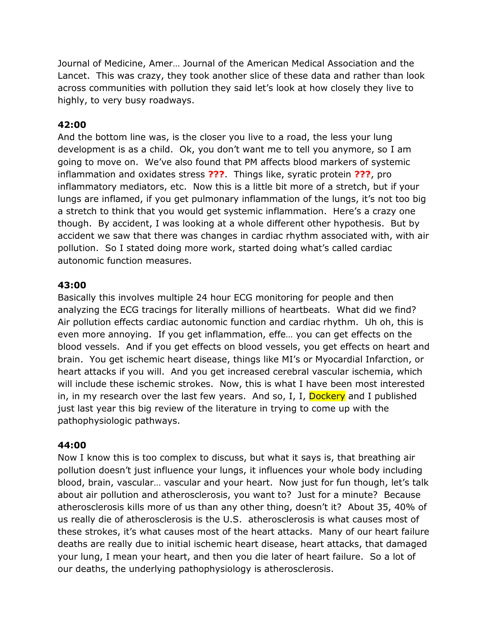Journal of Medicine, Amer… Journal of the American Medical Association and the Lancet. This was crazy, they took another slice of these data and rather than look across communities with pollution they said let's look at how closely they live to highly, to very busy roadways.

### **42:00**

And the bottom line was, is the closer you live to a road, the less your lung development is as a child. Ok, you don't want me to tell you anymore, so I am going to move on. We've also found that PM affects blood markers of systemic inflammation and oxidates stress **???**. Things like, syratic protein **???**, pro inflammatory mediators, etc. Now this is a little bit more of a stretch, but if your lungs are inflamed, if you get pulmonary inflammation of the lungs, it's not too big a stretch to think that you would get systemic inflammation. Here's a crazy one though. By accident, I was looking at a whole different other hypothesis. But by accident we saw that there was changes in cardiac rhythm associated with, with air pollution. So I stated doing more work, started doing what's called cardiac autonomic function measures.

### **43:00**

Basically this involves multiple 24 hour ECG monitoring for people and then analyzing the ECG tracings for literally millions of heartbeats. What did we find? Air pollution effects cardiac autonomic function and cardiac rhythm. Uh oh, this is even more annoying. If you get inflammation, effe… you can get effects on the blood vessels. And if you get effects on blood vessels, you get effects on heart and brain. You get ischemic heart disease, things like MI's or Myocardial Infarction, or heart attacks if you will. And you get increased cerebral vascular ischemia, which will include these ischemic strokes. Now, this is what I have been most interested in, in my research over the last few years. And so, I, I, Dockery and I published just last year this big review of the literature in trying to come up with the pathophysiologic pathways.

#### **44:00**

Now I know this is too complex to discuss, but what it says is, that breathing air pollution doesn't just influence your lungs, it influences your whole body including blood, brain, vascular… vascular and your heart. Now just for fun though, let's talk about air pollution and atherosclerosis, you want to? Just for a minute? Because atherosclerosis kills more of us than any other thing, doesn't it? About 35, 40% of us really die of atherosclerosis is the U.S. atherosclerosis is what causes most of these strokes, it's what causes most of the heart attacks. Many of our heart failure deaths are really due to initial ischemic heart disease, heart attacks, that damaged your lung, I mean your heart, and then you die later of heart failure. So a lot of our deaths, the underlying pathophysiology is atherosclerosis.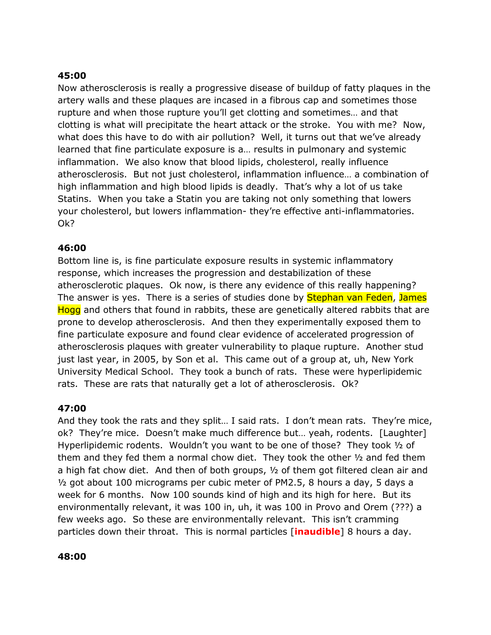#### **45:00**

Now atherosclerosis is really a progressive disease of buildup of fatty plaques in the artery walls and these plaques are incased in a fibrous cap and sometimes those rupture and when those rupture you'll get clotting and sometimes… and that clotting is what will precipitate the heart attack or the stroke. You with me? Now, what does this have to do with air pollution? Well, it turns out that we've already learned that fine particulate exposure is a… results in pulmonary and systemic inflammation. We also know that blood lipids, cholesterol, really influence atherosclerosis. But not just cholesterol, inflammation influence… a combination of high inflammation and high blood lipids is deadly. That's why a lot of us take Statins. When you take a Statin you are taking not only something that lowers your cholesterol, but lowers inflammation- they're effective anti-inflammatories. Ok?

### **46:00**

Bottom line is, is fine particulate exposure results in systemic inflammatory response, which increases the progression and destabilization of these atherosclerotic plaques. Ok now, is there any evidence of this really happening? The answer is yes. There is a series of studies done by **Stephan van Feden**, James Hogg and others that found in rabbits, these are genetically altered rabbits that are prone to develop atherosclerosis. And then they experimentally exposed them to fine particulate exposure and found clear evidence of accelerated progression of atherosclerosis plaques with greater vulnerability to plaque rupture. Another stud just last year, in 2005, by Son et al. This came out of a group at, uh, New York University Medical School. They took a bunch of rats. These were hyperlipidemic rats. These are rats that naturally get a lot of atherosclerosis. Ok?

# **47:00**

And they took the rats and they split… I said rats. I don't mean rats. They're mice, ok? They're mice. Doesn't make much difference but… yeah, rodents. [Laughter] Hyperlipidemic rodents. Wouldn't you want to be one of those? They took  $1/2$  of them and they fed them a normal chow diet. They took the other ½ and fed them a high fat chow diet. And then of both groups, ½ of them got filtered clean air and ½ got about 100 micrograms per cubic meter of PM2.5, 8 hours a day, 5 days a week for 6 months. Now 100 sounds kind of high and its high for here. But its environmentally relevant, it was 100 in, uh, it was 100 in Provo and Orem (???) a few weeks ago. So these are environmentally relevant. This isn't cramming particles down their throat. This is normal particles [**inaudible**] 8 hours a day.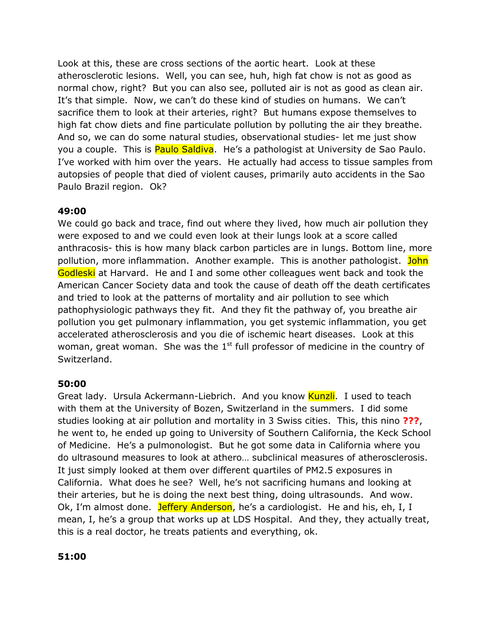Look at this, these are cross sections of the aortic heart. Look at these atherosclerotic lesions. Well, you can see, huh, high fat chow is not as good as normal chow, right? But you can also see, polluted air is not as good as clean air. It's that simple. Now, we can't do these kind of studies on humans. We can't sacrifice them to look at their arteries, right? But humans expose themselves to high fat chow diets and fine particulate pollution by polluting the air they breathe. And so, we can do some natural studies, observational studies- let me just show you a couple. This is **Paulo Saldiva**. He's a pathologist at University de Sao Paulo. I've worked with him over the years. He actually had access to tissue samples from autopsies of people that died of violent causes, primarily auto accidents in the Sao Paulo Brazil region. Ok?

### **49:00**

We could go back and trace, find out where they lived, how much air pollution they were exposed to and we could even look at their lungs look at a score called anthracosis- this is how many black carbon particles are in lungs. Bottom line, more pollution, more inflammation. Another example. This is another pathologist. John Godleski at Harvard. He and I and some other colleagues went back and took the American Cancer Society data and took the cause of death off the death certificates and tried to look at the patterns of mortality and air pollution to see which pathophysiologic pathways they fit. And they fit the pathway of, you breathe air pollution you get pulmonary inflammation, you get systemic inflammation, you get accelerated atherosclerosis and you die of ischemic heart diseases. Look at this woman, great woman. She was the  $1^{st}$  full professor of medicine in the country of Switzerland.

# **50:00**

Great lady. Ursula Ackermann-Liebrich. And you know Kunzli. I used to teach with them at the University of Bozen, Switzerland in the summers. I did some studies looking at air pollution and mortality in 3 Swiss cities. This, this nino **???**, he went to, he ended up going to University of Southern California, the Keck School of Medicine. He's a pulmonologist. But he got some data in California where you do ultrasound measures to look at athero… subclinical measures of atherosclerosis. It just simply looked at them over different quartiles of PM2.5 exposures in California. What does he see? Well, he's not sacrificing humans and looking at their arteries, but he is doing the next best thing, doing ultrasounds. And wow. Ok, I'm almost done. Jeffery Anderson, he's a cardiologist. He and his, eh, I, I mean, I, he's a group that works up at LDS Hospital. And they, they actually treat, this is a real doctor, he treats patients and everything, ok.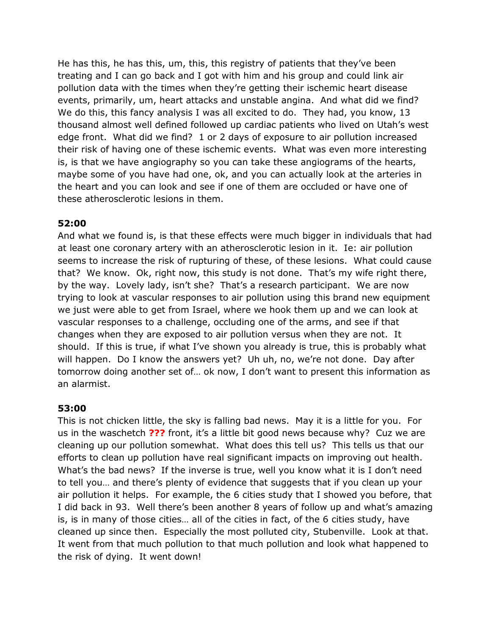He has this, he has this, um, this, this registry of patients that they've been treating and I can go back and I got with him and his group and could link air pollution data with the times when they're getting their ischemic heart disease events, primarily, um, heart attacks and unstable angina. And what did we find? We do this, this fancy analysis I was all excited to do. They had, you know, 13 thousand almost well defined followed up cardiac patients who lived on Utah's west edge front. What did we find? 1 or 2 days of exposure to air pollution increased their risk of having one of these ischemic events. What was even more interesting is, is that we have angiography so you can take these angiograms of the hearts, maybe some of you have had one, ok, and you can actually look at the arteries in the heart and you can look and see if one of them are occluded or have one of these atherosclerotic lesions in them.

# **52:00**

And what we found is, is that these effects were much bigger in individuals that had at least one coronary artery with an atherosclerotic lesion in it. Ie: air pollution seems to increase the risk of rupturing of these, of these lesions. What could cause that? We know. Ok, right now, this study is not done. That's my wife right there, by the way. Lovely lady, isn't she? That's a research participant. We are now trying to look at vascular responses to air pollution using this brand new equipment we just were able to get from Israel, where we hook them up and we can look at vascular responses to a challenge, occluding one of the arms, and see if that changes when they are exposed to air pollution versus when they are not. It should. If this is true, if what I've shown you already is true, this is probably what will happen. Do I know the answers yet? Uh uh, no, we're not done. Day after tomorrow doing another set of… ok now, I don't want to present this information as an alarmist.

# **53:00**

This is not chicken little, the sky is falling bad news. May it is a little for you. For us in the waschetch **???** front, it's a little bit good news because why? Cuz we are cleaning up our pollution somewhat. What does this tell us? This tells us that our efforts to clean up pollution have real significant impacts on improving out health. What's the bad news? If the inverse is true, well you know what it is I don't need to tell you… and there's plenty of evidence that suggests that if you clean up your air pollution it helps. For example, the 6 cities study that I showed you before, that I did back in 93. Well there's been another 8 years of follow up and what's amazing is, is in many of those cities… all of the cities in fact, of the 6 cities study, have cleaned up since then. Especially the most polluted city, Stubenville. Look at that. It went from that much pollution to that much pollution and look what happened to the risk of dying. It went down!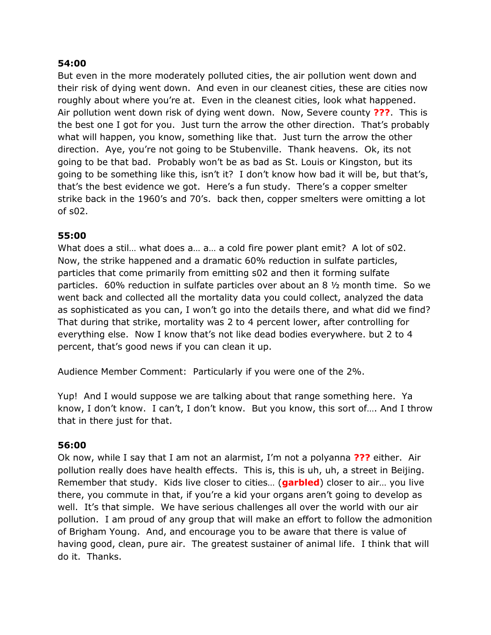#### **54:00**

But even in the more moderately polluted cities, the air pollution went down and their risk of dying went down. And even in our cleanest cities, these are cities now roughly about where you're at. Even in the cleanest cities, look what happened. Air pollution went down risk of dying went down. Now, Severe county **???**. This is the best one I got for you. Just turn the arrow the other direction. That's probably what will happen, you know, something like that. Just turn the arrow the other direction. Aye, you're not going to be Stubenville. Thank heavens. Ok, its not going to be that bad. Probably won't be as bad as St. Louis or Kingston, but its going to be something like this, isn't it? I don't know how bad it will be, but that's, that's the best evidence we got. Here's a fun study. There's a copper smelter strike back in the 1960's and 70's. back then, copper smelters were omitting a lot of s02.

### **55:00**

What does a stil… what does a… a… a cold fire power plant emit? A lot of s02. Now, the strike happened and a dramatic 60% reduction in sulfate particles, particles that come primarily from emitting s02 and then it forming sulfate particles. 60% reduction in sulfate particles over about an 8 ½ month time. So we went back and collected all the mortality data you could collect, analyzed the data as sophisticated as you can, I won't go into the details there, and what did we find? That during that strike, mortality was 2 to 4 percent lower, after controlling for everything else. Now I know that's not like dead bodies everywhere. but 2 to 4 percent, that's good news if you can clean it up.

Audience Member Comment: Particularly if you were one of the 2%.

Yup! And I would suppose we are talking about that range something here. Ya know, I don't know. I can't, I don't know. But you know, this sort of…. And I throw that in there just for that.

#### **56:00**

Ok now, while I say that I am not an alarmist, I'm not a polyanna **???** either. Air pollution really does have health effects. This is, this is uh, uh, a street in Beijing. Remember that study. Kids live closer to cities… (**garbled**) closer to air… you live there, you commute in that, if you're a kid your organs aren't going to develop as well. It's that simple. We have serious challenges all over the world with our air pollution. I am proud of any group that will make an effort to follow the admonition of Brigham Young. And, and encourage you to be aware that there is value of having good, clean, pure air. The greatest sustainer of animal life. I think that will do it. Thanks.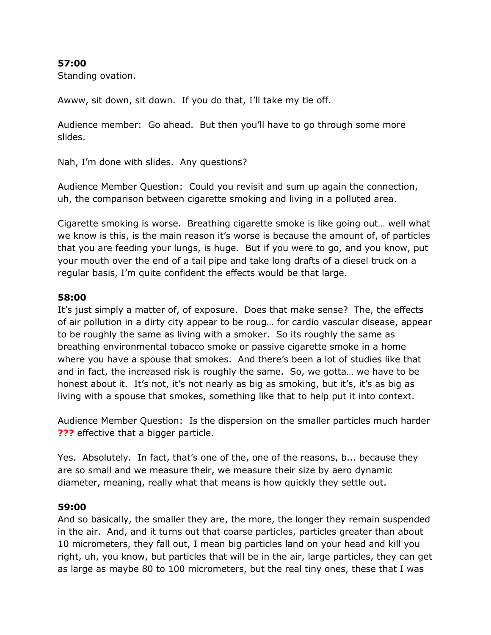#### **57:00**

Standing ovation.

Awww, sit down, sit down. If you do that, I'll take my tie off.

Audience member: Go ahead. But then you'll have to go through some more slides.

Nah, I'm done with slides. Any questions?

Audience Member Question: Could you revisit and sum up again the connection, uh, the comparison between cigarette smoking and living in a polluted area.

Cigarette smoking is worse. Breathing cigarette smoke is like going out… well what we know is this, is the main reason it's worse is because the amount of, of particles that you are feeding your lungs, is huge. But if you were to go, and you know, put your mouth over the end of a tail pipe and take long drafts of a diesel truck on a regular basis, I'm quite confident the effects would be that large.

#### **58:00**

It's just simply a matter of, of exposure. Does that make sense? The, the effects of air pollution in a dirty city appear to be roug… for cardio vascular disease, appear to be roughly the same as living with a smoker. So its roughly the same as breathing environmental tobacco smoke or passive cigarette smoke in a home where you have a spouse that smokes. And there's been a lot of studies like that and in fact, the increased risk is roughly the same. So, we gotta… we have to be honest about it. It's not, it's not nearly as big as smoking, but it's, it's as big as living with a spouse that smokes, something like that to help put it into context.

Audience Member Question: Is the dispersion on the smaller particles much harder **???** effective that a bigger particle.

Yes. Absolutely. In fact, that's one of the, one of the reasons, b... because they are so small and we measure their, we measure their size by aero dynamic diameter, meaning, really what that means is how quickly they settle out.

# **59:00**

And so basically, the smaller they are, the more, the longer they remain suspended in the air. And, and it turns out that coarse particles, particles greater than about 10 micrometers, they fall out, I mean big particles land on your head and kill you right, uh, you know, but particles that will be in the air, large particles, they can get as large as maybe 80 to 100 micrometers, but the real tiny ones, these that I was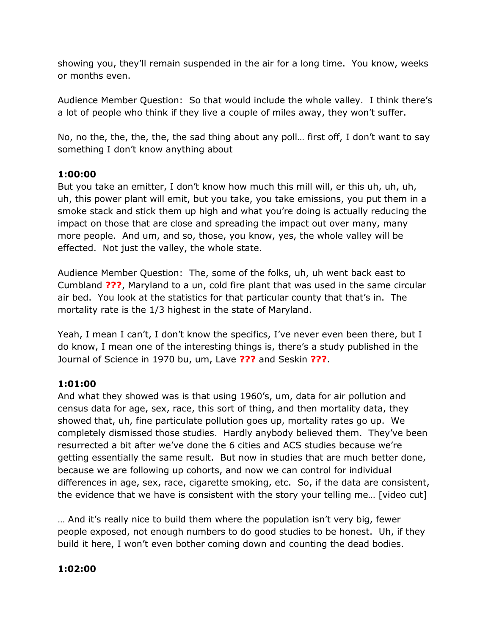showing you, they'll remain suspended in the air for a long time. You know, weeks or months even.

Audience Member Question: So that would include the whole valley. I think there's a lot of people who think if they live a couple of miles away, they won't suffer.

No, no the, the, the, the, the sad thing about any poll… first off, I don't want to say something I don't know anything about

# **1:00:00**

But you take an emitter, I don't know how much this mill will, er this uh, uh, uh, uh, this power plant will emit, but you take, you take emissions, you put them in a smoke stack and stick them up high and what you're doing is actually reducing the impact on those that are close and spreading the impact out over many, many more people. And um, and so, those, you know, yes, the whole valley will be effected. Not just the valley, the whole state.

Audience Member Question: The, some of the folks, uh, uh went back east to Cumbland **???**, Maryland to a un, cold fire plant that was used in the same circular air bed. You look at the statistics for that particular county that that's in. The mortality rate is the 1/3 highest in the state of Maryland.

Yeah, I mean I can't, I don't know the specifics, I've never even been there, but I do know, I mean one of the interesting things is, there's a study published in the Journal of Science in 1970 bu, um, Lave **???** and Seskin **???**.

# **1:01:00**

And what they showed was is that using 1960's, um, data for air pollution and census data for age, sex, race, this sort of thing, and then mortality data, they showed that, uh, fine particulate pollution goes up, mortality rates go up. We completely dismissed those studies. Hardly anybody believed them. They've been resurrected a bit after we've done the 6 cities and ACS studies because we're getting essentially the same result. But now in studies that are much better done, because we are following up cohorts, and now we can control for individual differences in age, sex, race, cigarette smoking, etc. So, if the data are consistent, the evidence that we have is consistent with the story your telling me… [video cut]

… And it's really nice to build them where the population isn't very big, fewer people exposed, not enough numbers to do good studies to be honest. Uh, if they build it here, I won't even bother coming down and counting the dead bodies.

# **1:02:00**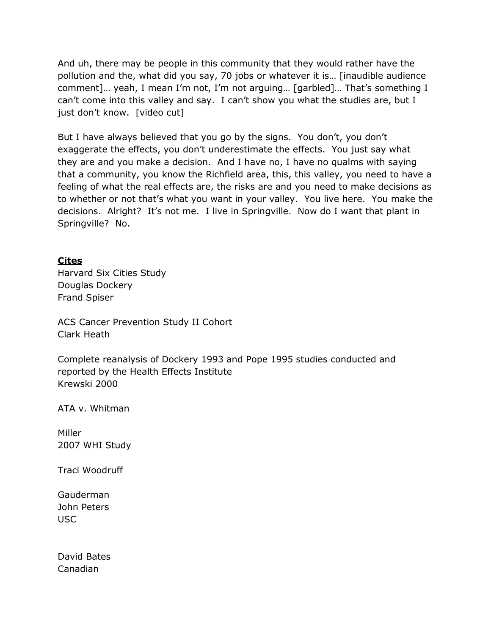And uh, there may be people in this community that they would rather have the pollution and the, what did you say, 70 jobs or whatever it is… [inaudible audience comment]… yeah, I mean I'm not, I'm not arguing… [garbled]… That's something I can't come into this valley and say. I can't show you what the studies are, but I just don't know. [video cut]

But I have always believed that you go by the signs. You don't, you don't exaggerate the effects, you don't underestimate the effects. You just say what they are and you make a decision. And I have no, I have no qualms with saying that a community, you know the Richfield area, this, this valley, you need to have a feeling of what the real effects are, the risks are and you need to make decisions as to whether or not that's what you want in your valley. You live here. You make the decisions. Alright? It's not me. I live in Springville. Now do I want that plant in Springville? No.

# **Cites**

Harvard Six Cities Study Douglas Dockery Frand Spiser

ACS Cancer Prevention Study II Cohort Clark Heath

Complete reanalysis of Dockery 1993 and Pope 1995 studies conducted and reported by the Health Effects Institute Krewski 2000

ATA v. Whitman

Miller 2007 WHI Study

Traci Woodruff

Gauderman John Peters USC

David Bates Canadian